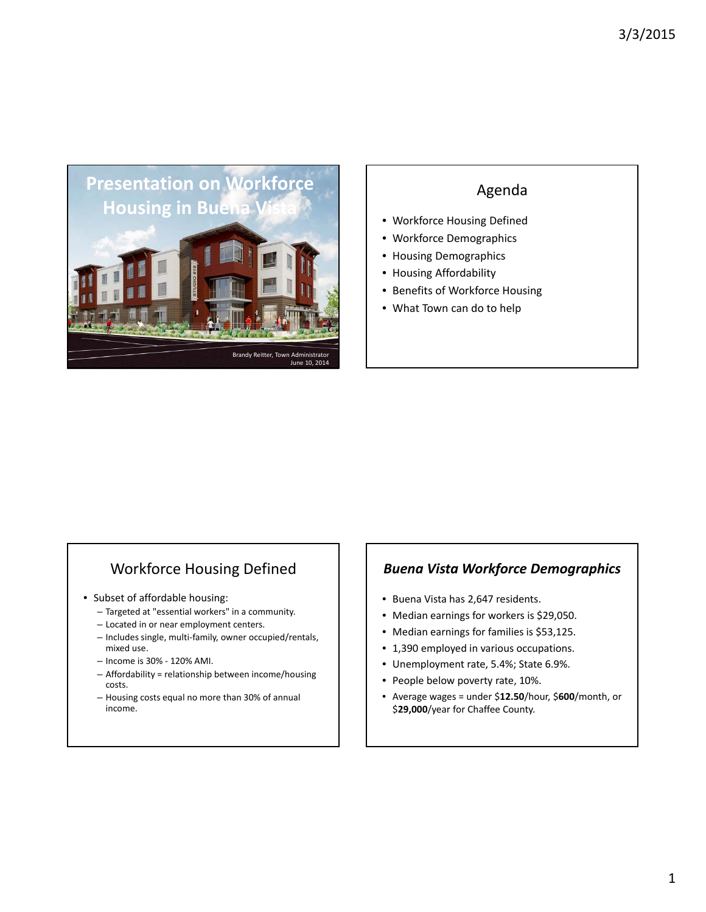

# Agenda

- Workforce Housing Defined
- Workforce Demographics
- Housing Demographics
- Housing Affordability
- Benefits of Workforce Housing
- What Town can do to help

# Workforce Housing Defined

- Subset of affordable housing:
	- Targeted at "essential workers" in a community.
	- Located in or near employment centers.
	- Includes single, multi‐family, owner occupied/rentals, mixed use.
	- Income is 30% ‐ 120% AMI.
	- Affordability = relationship between income/housing costs.
	- Housing costs equal no more than 30% of annual income.

#### *Buena Vista Workforce Demographics*

- Buena Vista has 2,647 residents.
- Median earnings for workers is \$29,050.
- Median earnings for families is \$53,125.
- 1,390 employed in various occupations.
- Unemployment rate, 5.4%; State 6.9%.
- People below poverty rate, 10%.
- Average wages = under \$**12.50**/hour, \$**600**/month, or \$**29,000**/year for Chaffee County.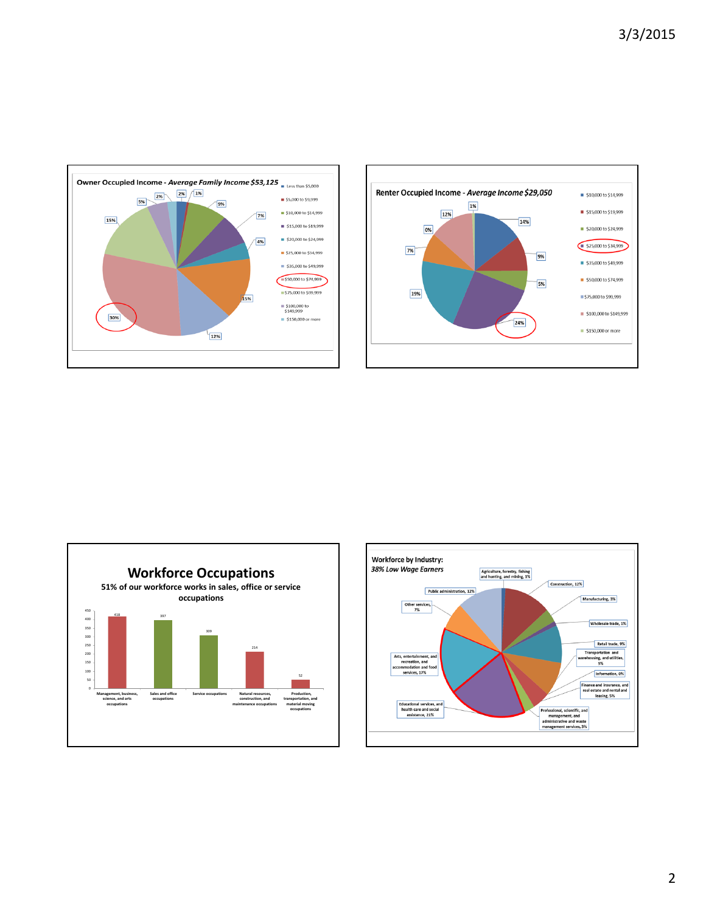







2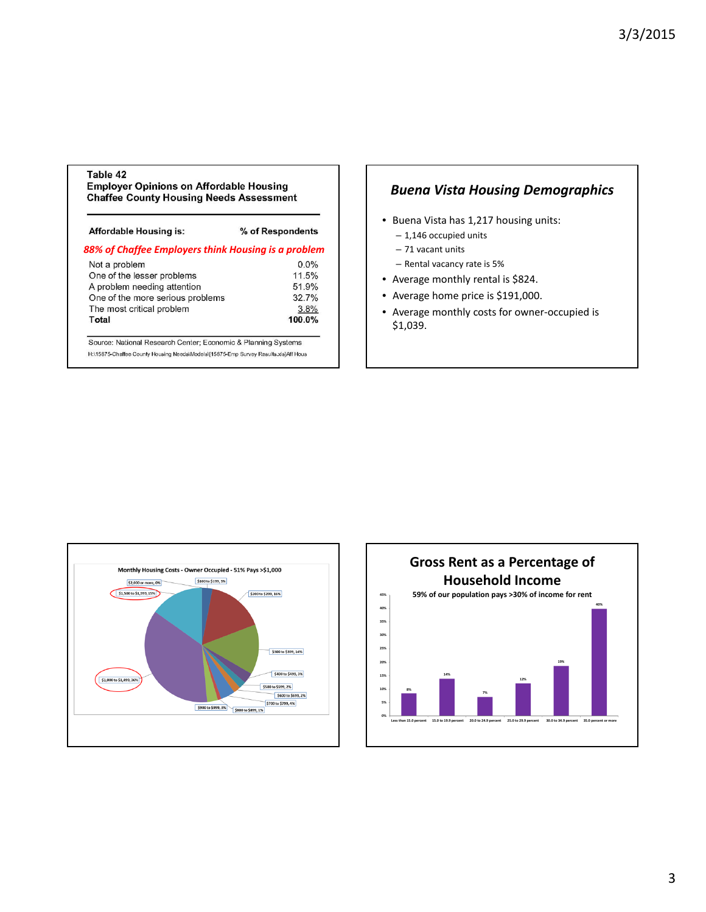#### Table 42

**Employer Opinions on Affordable Housing Chaffee County Housing Needs Assessment** 

| Affordable Housing is:                              | % of Respondents |  |  |
|-----------------------------------------------------|------------------|--|--|
| 88% of Chaffee Employers think Housing is a problem |                  |  |  |
| Not a problem                                       | $0.0\%$          |  |  |
| One of the lesser problems                          | 11.5%            |  |  |
| A problem needing attention                         | 51.9%            |  |  |
| One of the more serious problems                    | 32.7%            |  |  |
| The most critical problem                           | 3.8%             |  |  |
| Total                                               | 100.0%           |  |  |

H:\15875-Chaffee County Housing Needs\Models\[15875-Emp Survey Results.xls]Aff Hous

#### *Buena Vista Housing Demographics*

- Buena Vista has 1,217 housing units:
	- 1,146 occupied units
	- 71 vacant units
	- Rental vacancy rate is 5%
- Average monthly rental is \$824.
- Average home price is \$191,000.
- Average monthly costs for owner‐occupied is \$1,039.



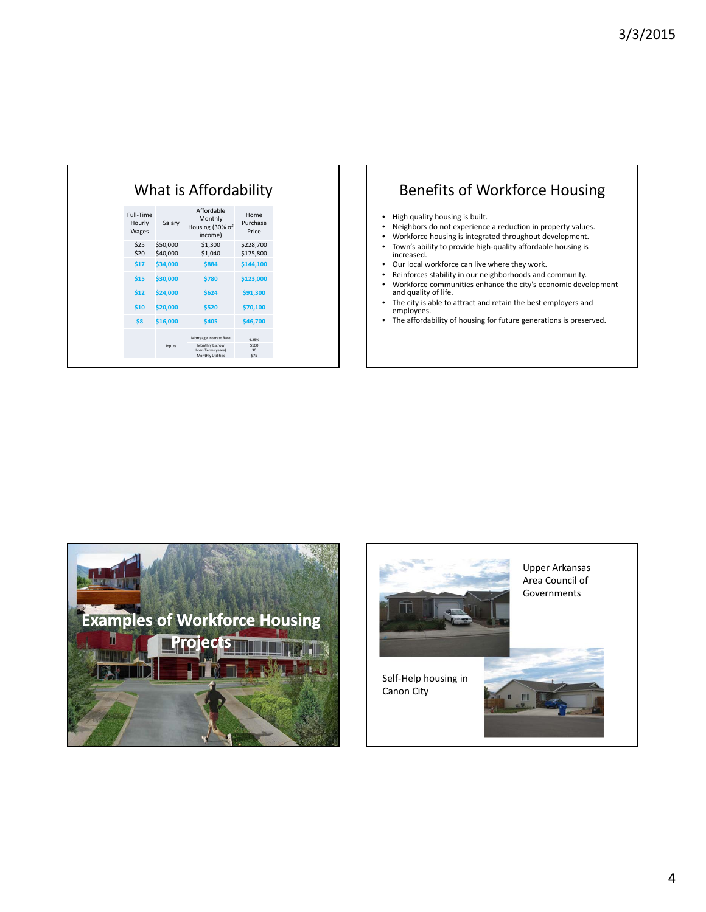| What is Affordability        |          |                                                     |                           |
|------------------------------|----------|-----------------------------------------------------|---------------------------|
| Full-Time<br>Hourly<br>Wages | Salary   | Affordable<br>Monthly<br>Housing (30% of<br>income) | Home<br>Purchase<br>Price |
| \$25                         | \$50,000 | \$1,300                                             | \$228,700                 |
| \$20                         | \$40,000 | \$1,040                                             | \$175,800                 |
| \$17                         | \$34,000 | \$884                                               | \$144,100                 |
| \$15                         | \$30,000 | \$780                                               | \$123,000                 |
| \$12                         | \$24,000 | \$624                                               | \$91,300                  |
| \$10                         | \$20,000 | \$520                                               | \$70,100                  |
| \$8                          | \$16,000 | \$405                                               | \$46,700                  |
|                              |          | Mortgage Interest Rate                              | 4.25%                     |
| Inputs                       |          | Monthly Escrow<br>Loan Term (years)                 | \$100<br>30               |
|                              |          | Monthly Utilities                                   | \$75                      |

## Benefits of Workforce Housing

- High quality housing is built.
- Neighbors do not experience a reduction in property values.<br>• Workforce bousing is integrated throughout development
- Workforce housing is integrated throughout development.<br>• Town's ability to provide high-quality affordable housing is
- Town's ability to provide high‐quality affordable housing is increased.
- Our local workforce can live where they work.<br>• Reinforces stability in our neighborhoods and o
- Reinforces stability in our neighborhoods and community.
- Workforce communities enhance the city's economic development and quality of life.
- The city is able to attract and retain the best employers and employees.
- The affordability of housing for future generations is preserved.



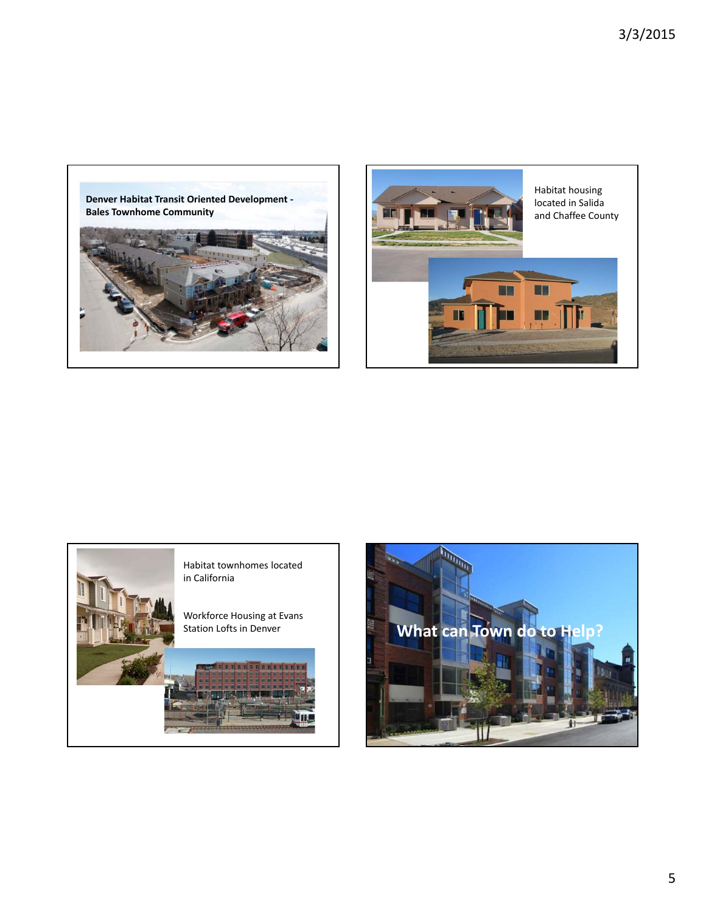





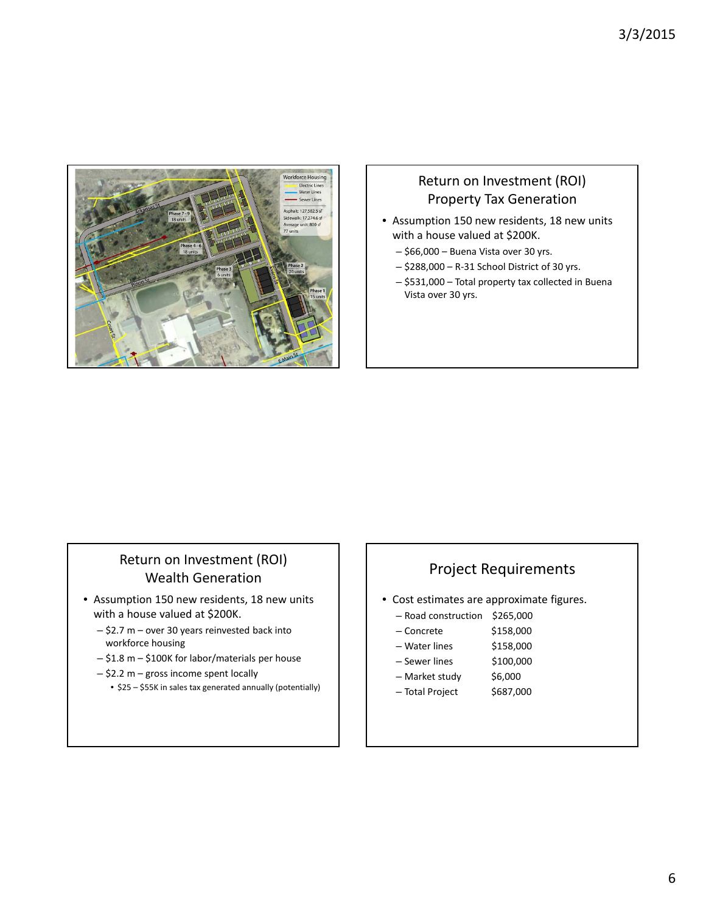

### Return on Investment (ROI) Property Tax Generation

- Assumption 150 new residents, 18 new units with a house valued at \$200K.
	- \$66,000 Buena Vista over 30 yrs.
	- \$288,000 R‐31 School District of 30 yrs.
	- \$531,000 Total property tax collected in Buena Vista over 30 yrs.

## Return on Investment (ROI) Wealth Generation

- Assumption 150 new residents, 18 new units with a house valued at \$200K.
	- \$2.7 m over 30 years reinvested back into workforce housing
	- \$1.8 m \$100K for labor/materials per house
	- \$2.2 m gross income spent locally
		- \$25 \$55K in sales tax generated annually (potentially)

### Project Requirements

- Cost estimates are approximate figures.
	- Road construction \$265,000
	- Concrete \$158,000
	- $-$  Water lines  $$158,000$
	- Sewer lines \$100,000
	- Market study \$6,000
	- $-$  Total Project  $$687,000$